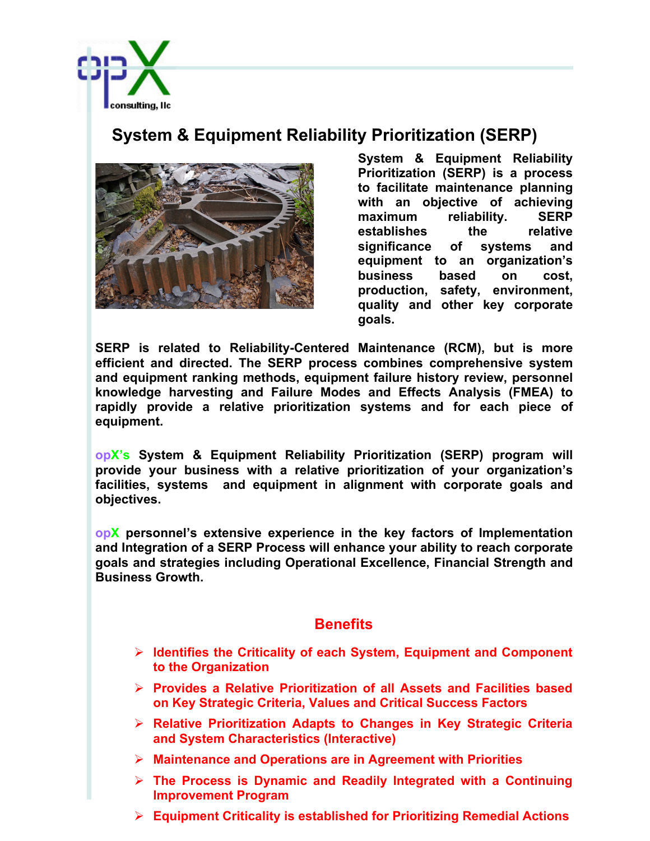

## **System & Equipment Reliability Prioritization (SERP)**



**System & Equipment Reliability Prioritization (SERP) is a process to facilitate maintenance planning with an objective of achieving maximum reliability. SERP establishes the relative significance of systems and equipment to an organization's business based on cost, production, safety, environment, quality and other key corporate goals.**

**SERP is related to Reliability-Centered Maintenance (RCM), but is more efficient and directed. The SERP process combines comprehensive system and equipment ranking methods, equipment failure history review, personnel knowledge harvesting and Failure Modes and Effects Analysis (FMEA) to rapidly provide a relative prioritization systems and for each piece of equipment.** 

**opX's System & Equipment Reliability Prioritization (SERP) program will provide your business with a relative prioritization of your organization's facilities, systems and equipment in alignment with corporate goals and objectives.**

**opX personnel's extensive experience in the key factors of Implementation and Integration of a SERP Process will enhance your ability to reach corporate goals and strategies including Operational Excellence, Financial Strength and Business Growth.**

## **Benefits**

- Ø **Identifies the Criticality of each System, Equipment and Component to the Organization**
- Ø **Provides a Relative Prioritization of all Assets and Facilities based on Key Strategic Criteria, Values and Critical Success Factors**
- Ø **Relative Prioritization Adapts to Changes in Key Strategic Criteria and System Characteristics (Interactive)**
- Ø **Maintenance and Operations are in Agreement with Priorities**
- Ø **The Process is Dynamic and Readily Integrated with a Continuing Improvement Program**
- Ø **Equipment Criticality is established for Prioritizing Remedial Actions**